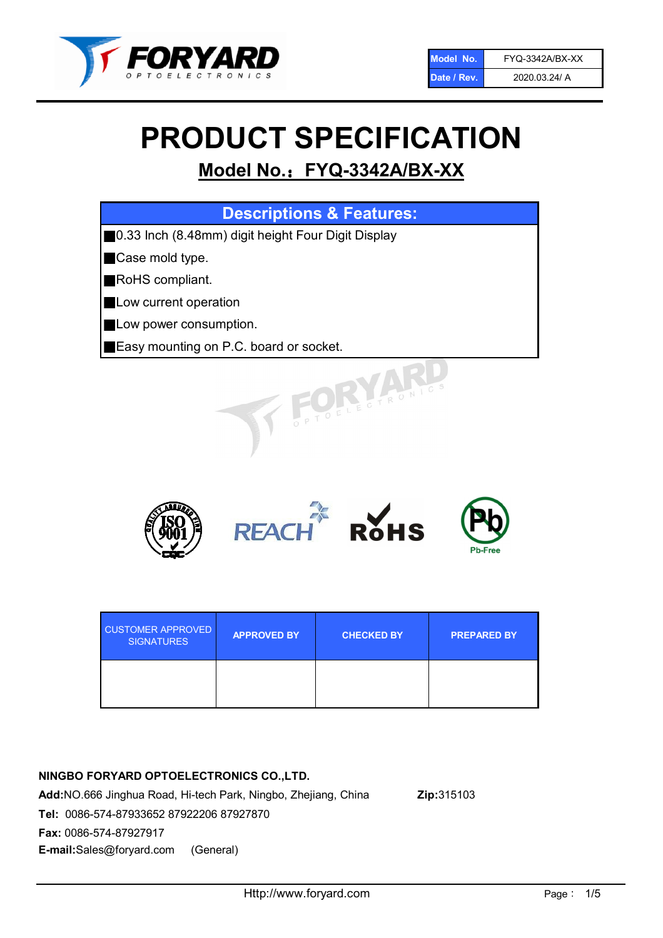

# PRODUCT SPECIFICATION

# Model No.: FYQ-3342A/BX-XX

| <b>Descriptions &amp; Features:</b>                |
|----------------------------------------------------|
| 0.33 Inch (8.48mm) digit height Four Digit Display |
| Case mold type.                                    |
| RoHS compliant.                                    |
| Low current operation                              |
| Low power consumption.                             |
| Easy mounting on P.C. board or socket.             |
| TOELECTRONIC                                       |



| <b>CUSTOMER APPROVED</b><br><b>SIGNATURES</b> | <b>APPROVED BY</b> | <b>CHECKED BY</b> | <b>PREPARED BY</b> |
|-----------------------------------------------|--------------------|-------------------|--------------------|
|                                               |                    |                   |                    |

### NINGBO FORYARD OPTOELECTRONICS CO.,LTD.

Add:NO.666 Jinghua Road, Hi-tech Park, Ningbo, Zhejiang, China Zip:315103 Tel: 0086-574-87933652 87922206 87927870 Fax: 0086-574-87927917 E-mail:Sales@foryard.com (General)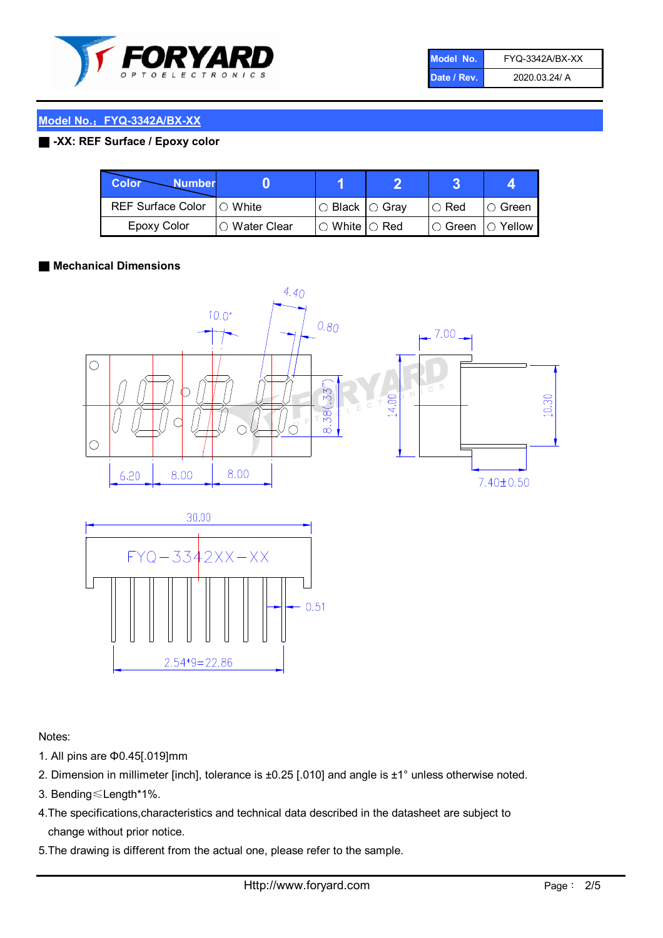

| Model No.   | FYQ-3342A/BX-XX |
|-------------|-----------------|
| Date / Rev. | 2020.03.24/ A   |

#### ■ -XX: REF Surface / Epoxy color

| Color<br><b>Number</b>   |                        |                           |             |                |
|--------------------------|------------------------|---------------------------|-------------|----------------|
| <b>REF Surface Color</b> | $\bigcap$ White        | ○ Black  ○ Gray           | $\circ$ Red | $\circ$ Green  |
| <b>Epoxy Color</b>       | $\bigcirc$ Water Clear | $\circ$ White $\circ$ Red | I⊖ Green    | $\circ$ Yellow |

#### ■ Mechanical Dimensions





Notes:

- 1. All pins are Φ0.45[.019]mm
- 2. Dimension in millimeter [inch], tolerance is ±0.25 [.010] and angle is ±1° unless otherwise noted.
- 3. Bending≤Length\*1%.
- 4.The specifications,characteristics and technical data described in the datasheet are subject to change without prior notice.
- 5.The drawing is different from the actual one, please refer to the sample.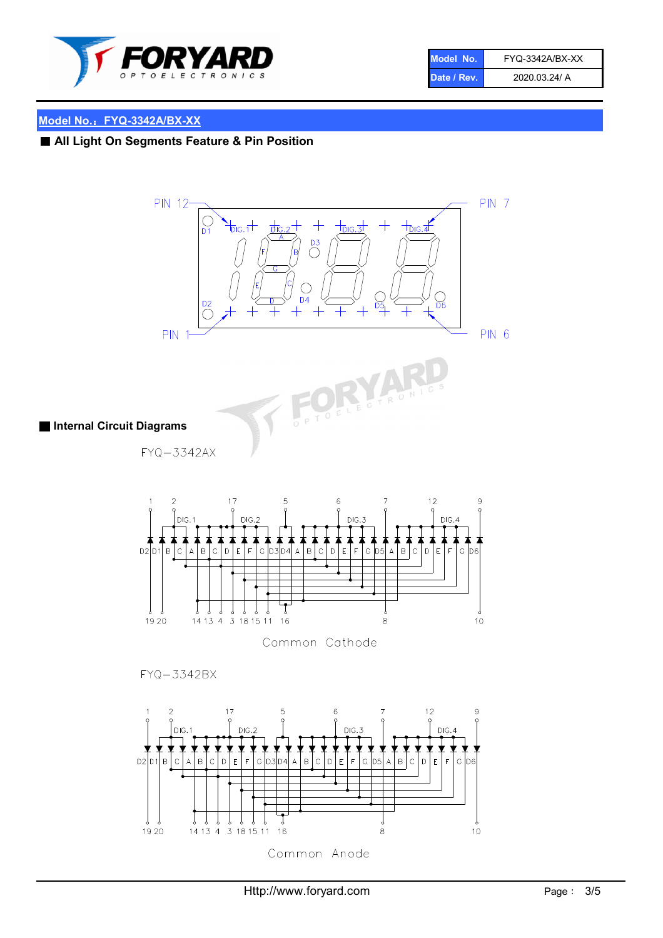

| Model No.   | FYQ-3342A/BX-XX |
|-------------|-----------------|
| Date / Rev. | 2020.03.24/ A   |

# ■ All Light On Segments Feature & Pin Position



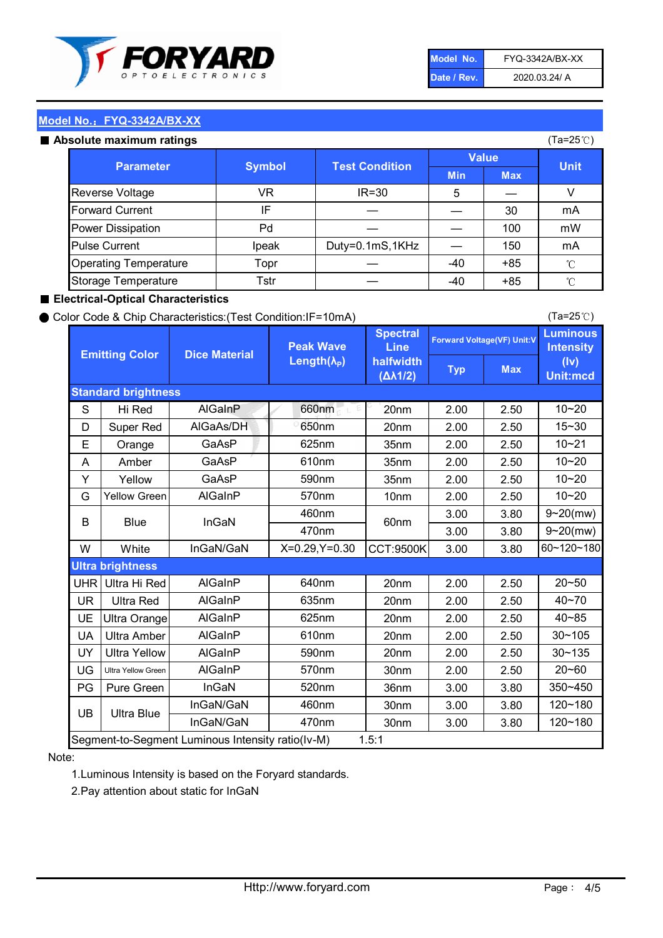

| Model No.   | FYQ-3342A/BX-XX |
|-------------|-----------------|
| Date / Rev. | 2020.03.24/ A   |

#### Absolute maximum

| ISUIULU IIIAAIIIIUIIII TALIIIYS |               |                       |              | (⊺a−∠J ∪ <i>)</i> |              |
|---------------------------------|---------------|-----------------------|--------------|-------------------|--------------|
| <b>Parameter</b>                | <b>Symbol</b> | <b>Test Condition</b> | <b>Value</b> |                   | <b>Unit</b>  |
|                                 |               |                       | <b>Min</b>   | <b>Max</b>        |              |
| Reverse Voltage                 | VR            | $IR = 30$             | 5            |                   |              |
| <b>Forward Current</b>          | ΙF            |                       |              | 30                | mA           |
| Power Dissipation               | Pd            |                       |              | 100               | mW           |
| <b>Pulse Current</b>            | Ipeak         | Duty=0.1mS,1KHz       |              | 150               | mA           |
| <b>Operating Temperature</b>    | Topr          |                       | $-40$        | $+85$             | $^{\circ}$ C |
| Storage Temperature             | Tstr          |                       | $-40$        | $+85$             | °C           |

#### ■ Electrical-Optical Characteristics

#### ● Color Code & Chip Characteristics:(Test Condition:IF=10mA)

Typ Max S | Hi $\textsf{Red}$  | AlGaInP | 660nm LE 20nm | 2.00 | 2.50 D | Super Red | AIGaAs/DH | 650nm | 20nm | 2.00 | 2.50 E | Orange | GaAsP | 625nm | 35nm | 2.00 | 2.50 A | Amber | GaAsP | 610nm | 35nm | 2.00 | 2.50 Y | Yellow | GaAsP | 590nm | 35nm | 2.00 | 2.50 G Yellow Green AIGaInP | 570nm | 10nm | 2.00 | 2.50 3.00 3.80 3.00 3.80 W | White | InGaN/GaN | X=0.29,Y=0.30 |CCT:9500K| 3.00 | 3.80 UHR Ultra Hi Red  $\vert$  AIGaInP  $\vert$  640nm  $\vert$  20nm  $\vert$  2.00  $\vert$  2.50 UR | Ultra Red | AlGaInP | 635nm | 20nm | 2.00 | 2.50 UE Ultra Orange | AIGaInP | 625nm | 20nm | 2.00 | 2.50 UA Ultra Amber | AIGaInP | 610nm | 20nm | 2.00 | 2.50  $UV$  Ultra Yellow  $\vert$  AlGaInP  $\vert$  590nm  $\vert$  20nm  $\vert$  2.00  $\vert$  2.50  $\text{UG}$  Ultra Yellow Green | AIGaInP | 570nm | 30nm | 2.00 | 2.50 PG | Pure Green | InGaN | 520nm | 36nm | 3.00 | 3.80 30nm 3.00 3.80 30nm 3.00 3.80 10~20 Standard brightness Forward Voltage(VF) Unit:V 15~30 10~20 10~20 625nm GaAsP 590nm **Emitting Color Dice Material** 10~21 610nm Luminous **Intensity** (Iv) Unit:mcd AlGainP 660nm GaAsP GaAsP AlGaAs/DH **Spectral** Line halfwidth (∆λ1/2) Peak Wave Length $(\lambda_{\rm P})$ UB 460nm 635nm AlGaInP AlGaInP AlGaInP InGaN/GaN AlGaInP | 570nm | 10nm | 2.00 | 2.50 | 10~20 30~105 30~135 460nm 520nm Ultra brightness **AlGaInP** AlGaInP 60nm AlGaInP 640nm Segment-to-Segment Luminous Intensity ratio(Iv-M) 1.5:1 610nm 9~20(mw) 350~450 470nm 120~180 120~180 Ultra Blue InGaN/GaN 9~20(mw) 20~50 570nm | 30nm | 2.00 | 2.50 | 20~60 470nm 590nm InGaN/GaN B Blue I InGaN 40~85 60~120~180 40~70

#### Note:

1.Luminous Intensity is based on the Foryard standards.

2.Pay attention about static for InGaN

(Ta=25℃)

(Ta=25℃)